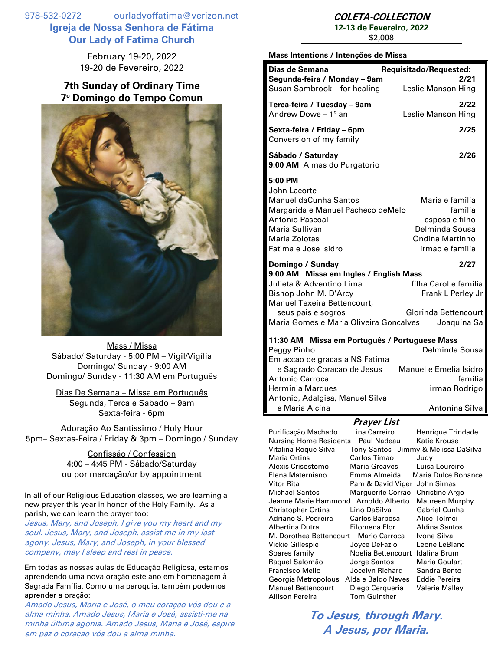978-532-0272 ourladyoffatima@verizon.net **Igreja de Nossa Senhora de Fátima Our Lady of Fatima Church**

> February 19-20, 2022 19-20 de Fevereiro, 2022

## **7th Sunday of Ordinary Time 7 <sup>o</sup> Domingo do Tempo Comun**



Mass / Missa Sábado/ Saturday - 5:00 PM – Vigil/Vigília Domingo/ Sunday - 9:00 AM Domingo/ Sunday - 11:30 AM em Português

Dias De Semana – Missa em Português Segunda, Terca e Sabado – 9am Sexta-feira - 6pm

Adoração Ao Santíssimo / Holy Hour 5pm– Sextas-Feira / Friday & 3pm – Domingo / Sunday

> Confissão / Confession 4:00 – 4:45 PM - Sábado/Saturday ou por marcação/or by appointment

In all of our Religious Education classes, we are learning a new prayer this year in honor of the Holy Family. As a parish, we can learn the prayer too:

Jesus, Mary, and Joseph, I give you my heart and my soul. Jesus, Mary, and Joseph, assist me in my last agony. Jesus, Mary, and Joseph, in your blessed company, may I sleep and rest in peace.

Em todas as nossas aulas de Educação Religiosa, estamos aprendendo uma nova oração este ano em homenagem à Sagrada Família. Como uma paróquia, também podemos aprender a oração:

Amado Jesus, Maria e José, o meu coração vós dou e a alma minha. Amado Jesus, Maria e José, assisti-me na minha última agonia. Amado Jesus, Maria e José, espire em paz o coração vós dou a alma minha.

## **COLETA-COLLECTION 12-13 de Fevereiro, 2022**

\$2,008

## **Mass Intentions / Intenções de Missa**

| iviass intentions / intenções de iviissa                                                                                                                                                                                                                                                                                           |                                                                                                                                                                                                                                                               |
|------------------------------------------------------------------------------------------------------------------------------------------------------------------------------------------------------------------------------------------------------------------------------------------------------------------------------------|---------------------------------------------------------------------------------------------------------------------------------------------------------------------------------------------------------------------------------------------------------------|
| Dias de Semana<br>Segunda-feira / Monday - 9am<br>Susan Sambrook - for healing                                                                                                                                                                                                                                                     | Requisitado/Requested:<br>2/21<br>Leslie Manson Hing                                                                                                                                                                                                          |
| Terca-feira / Tuesday - 9am<br>Andrew Dowe $-1^\circ$ an                                                                                                                                                                                                                                                                           | 2/22<br>Leslie Manson Hing                                                                                                                                                                                                                                    |
| Sexta-feira / Friday - 6pm<br>Conversion of my family                                                                                                                                                                                                                                                                              | 2/25                                                                                                                                                                                                                                                          |
| Sábado / Saturday<br>9:00 AM Almas do Purgatorio                                                                                                                                                                                                                                                                                   | 2/26                                                                                                                                                                                                                                                          |
| 5:00 PM<br>John Lacorte<br><b>Manuel daCunha Santos</b><br>Margarida e Manuel Pacheco deMelo<br>Antonio Pascoal<br>Maria Sullivan<br>Maria Zolotas<br>Fatima e Jose Isidro                                                                                                                                                         | Maria e familia<br>familia<br>esposa e filho<br>Delminda Sousa<br>Ondina Martinho<br>irmao e familia                                                                                                                                                          |
| Domingo / Sunday<br>9:00 AM Missa em Ingles / English Mass<br>Julieta & Adventino Lima<br>Bishop John M. D'Arcy<br>Manuel Texeira Bettencourt,                                                                                                                                                                                     | 2/27<br>filha Carol e familia<br>Frank L Perley Jr                                                                                                                                                                                                            |
| seus pais e sogros<br>Maria Gomes e Maria Oliveira Goncalves                                                                                                                                                                                                                                                                       | Glorinda Bettencourt<br>Joaquina Sa                                                                                                                                                                                                                           |
| 11:30 AM Missa em Português / Portuguese Mass<br>Delminda Sousa<br>Peggy Pinho<br>Em accao de gracas a NS Fatima                                                                                                                                                                                                                   |                                                                                                                                                                                                                                                               |
| e Sagrado Coracao de Jesus<br><b>Antonio Carroca</b>                                                                                                                                                                                                                                                                               | Manuel e Emelia Isidro<br>familia                                                                                                                                                                                                                             |
| <b>Herminia Marques</b><br>Antonio, Adalgisa, Manuel Silva<br>e Maria Alcina                                                                                                                                                                                                                                                       | irmao Rodrigo<br>Antonina Silva                                                                                                                                                                                                                               |
| Prayer List                                                                                                                                                                                                                                                                                                                        |                                                                                                                                                                                                                                                               |
| Lina Carreiro<br>Purificação Machado<br><b>Nursing Home Residents</b><br>Paul Nadeau<br>Vitalina Roque Silva<br>Maria Ortins<br>Carlos Timao<br>Alexis Crisostomo<br>Maria Greaves<br>Elena Materniano<br>Emma Almeida<br>Vitor Rita<br><b>Michael Santos</b><br>Jeanne Marie Hammond<br><b>Christopher Ortins</b><br>Lino DaSilva | Henrique Trindade<br>Katie Krouse<br>Tony Santos Jimmy & Melissa DaSilva<br>Judy<br>Luisa Loureiro<br>Maria Dulce Bonance<br>Pam & David Viger John Simas<br>Marguerite Corrao<br>Christine Argo<br>Arnoldo Alberto<br><b>Maureen Murphy</b><br>Gabriel Cunha |

**To Jesus, through Mary. A Jesus, por Maria.**

Adriano S. Pedreira Carlos Barbosa Alice Tolmei Albertina Dutra Filomena Flor Aldina Santos M. Dorothea Bettencourt Mario Carroca Ivone Silva Vickie Gillespie Joyce DeFazio Leone LeBlanc Soares family Noelia Bettencourt Idalina Brum Raquel Salomão Jorge Santos Maria Goulart Francisco Mello Jocelyn Richard Sandra Bento Georgia Metropolous Alda e Baldo Neves Eddie Pereira Manuel Bettencourt Diego Cerqueria Valerie Malley

Allison Pereira Tom Guinther